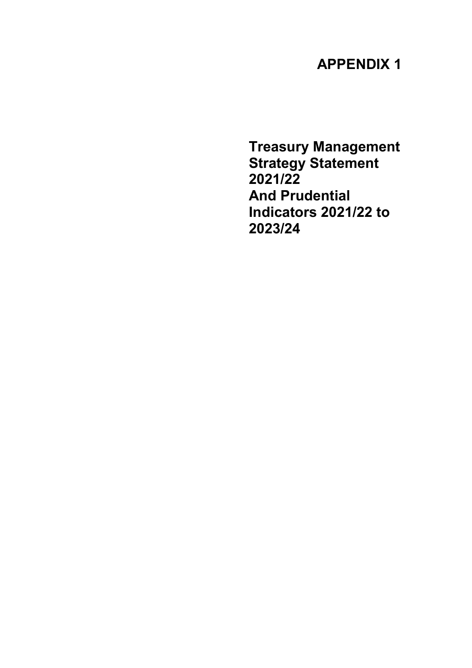# APPENDIX 1

Treasury Management Strategy Statement 2021/22 And Prudential Indicators 2021/22 to 2023/24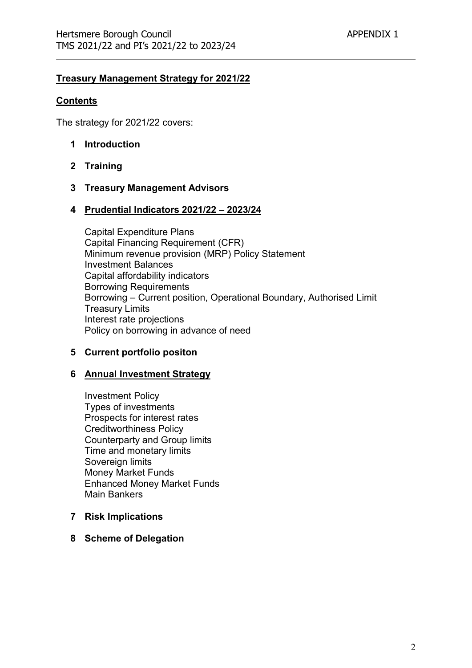#### Treasury Management Strategy for 2021/22

#### **Contents**

The strategy for 2021/22 covers:

- 1 Introduction
- 2 Training
- 3 Treasury Management Advisors

#### 4 Prudential Indicators 2021/22 – 2023/24

Capital Expenditure Plans Capital Financing Requirement (CFR) Minimum revenue provision (MRP) Policy Statement Investment Balances Capital affordability indicators Borrowing Requirements Borrowing – Current position, Operational Boundary, Authorised Limit Treasury Limits Interest rate projections Policy on borrowing in advance of need

#### 5 Current portfolio positon

#### 6 Annual Investment Strategy

Investment Policy Types of investments Prospects for interest rates Creditworthiness Policy Counterparty and Group limits Time and monetary limits Sovereign limits Money Market Funds Enhanced Money Market Funds Main Bankers

#### 7 Risk Implications

#### 8 Scheme of Delegation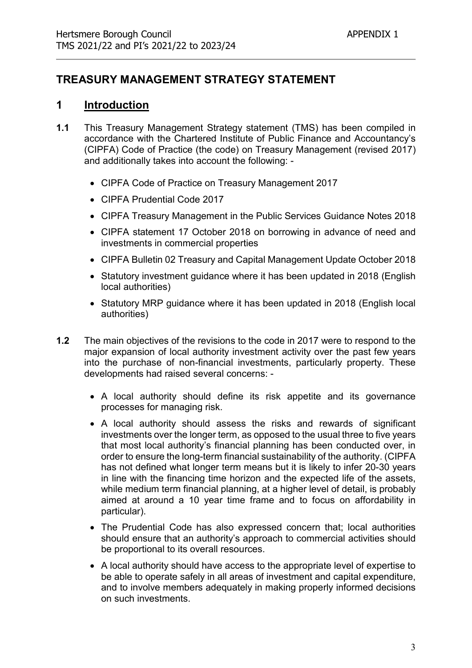# TREASURY MANAGEMENT STRATEGY STATEMENT

### 1 Introduction

- 1.1 This Treasury Management Strategy statement (TMS) has been compiled in accordance with the Chartered Institute of Public Finance and Accountancy's (CIPFA) Code of Practice (the code) on Treasury Management (revised 2017) and additionally takes into account the following: -
	- CIPFA Code of Practice on Treasury Management 2017
	- CIPFA Prudential Code 2017
	- CIPFA Treasury Management in the Public Services Guidance Notes 2018
	- CIPFA statement 17 October 2018 on borrowing in advance of need and investments in commercial properties
	- CIPFA Bulletin 02 Treasury and Capital Management Update October 2018
	- Statutory investment quidance where it has been updated in 2018 (English local authorities)
	- Statutory MRP quidance where it has been updated in 2018 (English local authorities)
- 1.2 The main objectives of the revisions to the code in 2017 were to respond to the major expansion of local authority investment activity over the past few years into the purchase of non-financial investments, particularly property. These developments had raised several concerns: -
	- A local authority should define its risk appetite and its governance processes for managing risk.
	- A local authority should assess the risks and rewards of significant investments over the longer term, as opposed to the usual three to five years that most local authority's financial planning has been conducted over, in order to ensure the long-term financial sustainability of the authority. (CIPFA has not defined what longer term means but it is likely to infer 20-30 years in line with the financing time horizon and the expected life of the assets, while medium term financial planning, at a higher level of detail, is probably aimed at around a 10 year time frame and to focus on affordability in particular).
	- The Prudential Code has also expressed concern that; local authorities should ensure that an authority's approach to commercial activities should be proportional to its overall resources.
	- A local authority should have access to the appropriate level of expertise to be able to operate safely in all areas of investment and capital expenditure, and to involve members adequately in making properly informed decisions on such investments.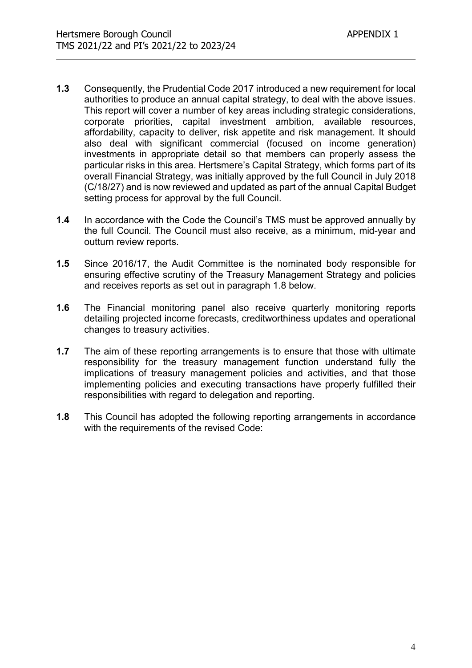- 1.3 Consequently, the Prudential Code 2017 introduced a new requirement for local authorities to produce an annual capital strategy, to deal with the above issues. This report will cover a number of key areas including strategic considerations, corporate priorities, capital investment ambition, available resources, affordability, capacity to deliver, risk appetite and risk management. It should also deal with significant commercial (focused on income generation) investments in appropriate detail so that members can properly assess the particular risks in this area. Hertsmere's Capital Strategy, which forms part of its overall Financial Strategy, was initially approved by the full Council in July 2018 (C/18/27) and is now reviewed and updated as part of the annual Capital Budget setting process for approval by the full Council.
- 1.4 In accordance with the Code the Council's TMS must be approved annually by the full Council. The Council must also receive, as a minimum, mid-year and outturn review reports.
- 1.5 Since 2016/17, the Audit Committee is the nominated body responsible for ensuring effective scrutiny of the Treasury Management Strategy and policies and receives reports as set out in paragraph 1.8 below.
- 1.6 The Financial monitoring panel also receive quarterly monitoring reports detailing projected income forecasts, creditworthiness updates and operational changes to treasury activities.
- 1.7 The aim of these reporting arrangements is to ensure that those with ultimate responsibility for the treasury management function understand fully the implications of treasury management policies and activities, and that those implementing policies and executing transactions have properly fulfilled their responsibilities with regard to delegation and reporting.
- 1.8 This Council has adopted the following reporting arrangements in accordance with the requirements of the revised Code: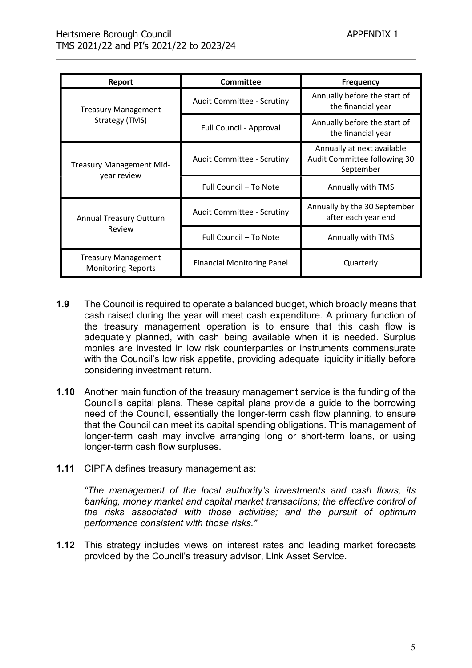| Report                                                  | <b>Committee</b>                  | <b>Frequency</b>                                                        |  |
|---------------------------------------------------------|-----------------------------------|-------------------------------------------------------------------------|--|
| <b>Treasury Management</b>                              | <b>Audit Committee - Scrutiny</b> | Annually before the start of<br>the financial year                      |  |
| Strategy (TMS)                                          | Full Council - Approval           | Annually before the start of<br>the financial year                      |  |
| Treasury Management Mid-                                | <b>Audit Committee - Scrutiny</b> | Annually at next available<br>Audit Committee following 30<br>September |  |
| year review                                             | Full Council - To Note            | Annually with TMS                                                       |  |
| <b>Annual Treasury Outturn</b>                          | <b>Audit Committee - Scrutiny</b> | Annually by the 30 September<br>after each year end                     |  |
| Review                                                  | Full Council - To Note            | Annually with TMS                                                       |  |
| <b>Treasury Management</b><br><b>Monitoring Reports</b> | <b>Financial Monitoring Panel</b> | Quarterly                                                               |  |

- 1.9 The Council is required to operate a balanced budget, which broadly means that cash raised during the year will meet cash expenditure. A primary function of the treasury management operation is to ensure that this cash flow is adequately planned, with cash being available when it is needed. Surplus monies are invested in low risk counterparties or instruments commensurate with the Council's low risk appetite, providing adequate liquidity initially before considering investment return.
- 1.10 Another main function of the treasury management service is the funding of the Council's capital plans. These capital plans provide a guide to the borrowing need of the Council, essentially the longer-term cash flow planning, to ensure that the Council can meet its capital spending obligations. This management of longer-term cash may involve arranging long or short-term loans, or using longer-term cash flow surpluses.
- 1.11 CIPFA defines treasury management as:

"The management of the local authority's investments and cash flows, its banking, money market and capital market transactions; the effective control of the risks associated with those activities; and the pursuit of optimum performance consistent with those risks."

1.12 This strategy includes views on interest rates and leading market forecasts provided by the Council's treasury advisor, Link Asset Service.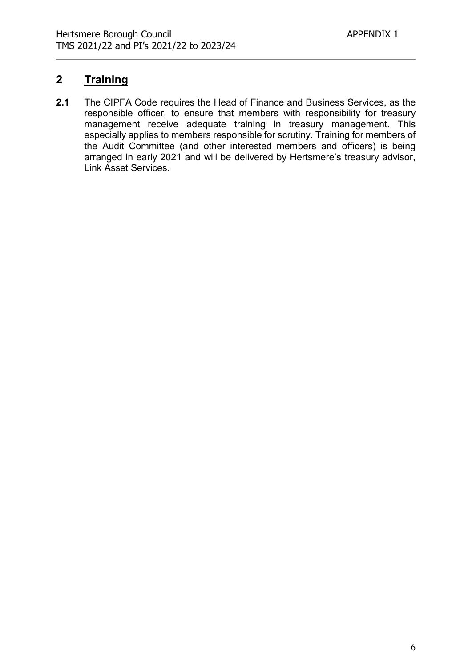# 2 Training

2.1 The CIPFA Code requires the Head of Finance and Business Services, as the responsible officer, to ensure that members with responsibility for treasury management receive adequate training in treasury management. This especially applies to members responsible for scrutiny. Training for members of the Audit Committee (and other interested members and officers) is being arranged in early 2021 and will be delivered by Hertsmere's treasury advisor, Link Asset Services.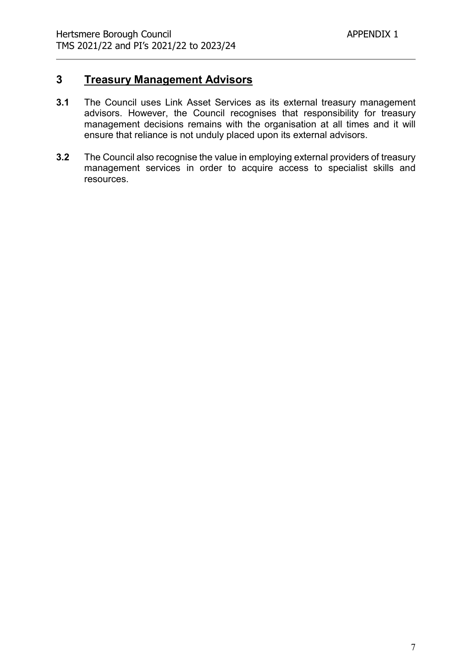### 3 Treasury Management Advisors

- 3.1 The Council uses Link Asset Services as its external treasury management advisors. However, the Council recognises that responsibility for treasury management decisions remains with the organisation at all times and it will ensure that reliance is not unduly placed upon its external advisors.
- 3.2 The Council also recognise the value in employing external providers of treasury management services in order to acquire access to specialist skills and resources.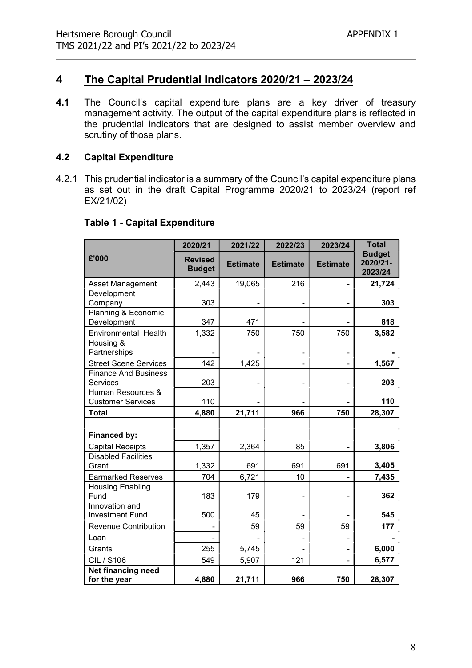# 4 The Capital Prudential Indicators 2020/21 – 2023/24

4.1 The Council's capital expenditure plans are a key driver of treasury management activity. The output of the capital expenditure plans is reflected in the prudential indicators that are designed to assist member overview and scrutiny of those plans.

#### 4.2 Capital Expenditure

4.2.1 This prudential indicator is a summary of the Council's capital expenditure plans as set out in the draft Capital Programme 2020/21 to 2023/24 (report ref EX/21/02)

|                                               | 2020/21                         | 2021/22         | 2022/23         | 2023/24         | <b>Total</b>                         |
|-----------------------------------------------|---------------------------------|-----------------|-----------------|-----------------|--------------------------------------|
| £'000                                         | <b>Revised</b><br><b>Budget</b> | <b>Estimate</b> | <b>Estimate</b> | <b>Estimate</b> | <b>Budget</b><br>2020/21-<br>2023/24 |
| <b>Asset Management</b>                       | 2,443                           | 19,065          | 216             |                 | 21,724                               |
| Development<br>Company                        | 303                             |                 |                 |                 | 303                                  |
| Planning & Economic<br>Development            | 347                             | 471             |                 |                 | 818                                  |
| Environmental Health                          | 1,332                           | 750             | 750             | 750             | 3,582                                |
| Housing &<br>Partnerships                     |                                 |                 |                 |                 |                                      |
| <b>Street Scene Services</b>                  | 142                             | 1,425           |                 |                 | 1,567                                |
| <b>Finance And Business</b><br>Services       | 203                             |                 | -               |                 | 203                                  |
| Human Resources &<br><b>Customer Services</b> | 110                             |                 |                 |                 | 110                                  |
| <b>Total</b>                                  | 4,880                           | 21,711          | 966             | 750             | 28,307                               |
|                                               |                                 |                 |                 |                 |                                      |
| Financed by:                                  |                                 |                 |                 |                 |                                      |
| <b>Capital Receipts</b>                       | 1,357                           | 2,364           | 85              |                 | 3,806                                |
| <b>Disabled Facilities</b><br>Grant           | 1,332                           | 691             | 691             | 691             | 3,405                                |
| <b>Earmarked Reserves</b>                     | 704                             | 6,721           | 10              |                 | 7,435                                |
| <b>Housing Enabling</b><br>Fund               | 183                             | 179             |                 |                 | 362                                  |
| Innovation and<br><b>Investment Fund</b>      | 500                             | 45              |                 |                 | 545                                  |
| <b>Revenue Contribution</b>                   |                                 | 59              | 59              | 59              | 177                                  |
| Loan                                          |                                 |                 |                 |                 |                                      |
| Grants                                        | 255                             | 5,745           |                 |                 | 6,000                                |
| <b>CIL / S106</b>                             | 549                             | 5,907           | 121             |                 | 6,577                                |
| Net financing need<br>for the year            | 4,880                           | 21,711          | 966             | 750             | 28,307                               |

# Table 1 - Capital Expenditure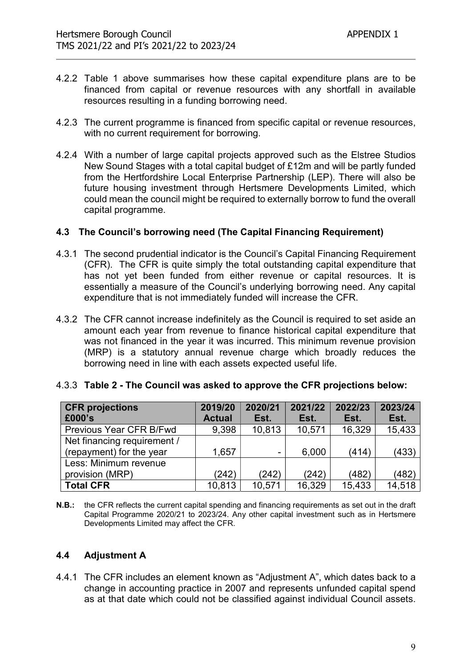- 4.2.2 Table 1 above summarises how these capital expenditure plans are to be financed from capital or revenue resources with any shortfall in available resources resulting in a funding borrowing need.
- 4.2.3 The current programme is financed from specific capital or revenue resources, with no current requirement for borrowing.
- 4.2.4 With a number of large capital projects approved such as the Elstree Studios New Sound Stages with a total capital budget of £12m and will be partly funded from the Hertfordshire Local Enterprise Partnership (LEP). There will also be future housing investment through Hertsmere Developments Limited, which could mean the council might be required to externally borrow to fund the overall capital programme.

#### 4.3 The Council's borrowing need (The Capital Financing Requirement)

- 4.3.1 The second prudential indicator is the Council's Capital Financing Requirement (CFR). The CFR is quite simply the total outstanding capital expenditure that has not yet been funded from either revenue or capital resources. It is essentially a measure of the Council's underlying borrowing need. Any capital expenditure that is not immediately funded will increase the CFR.
- 4.3.2 The CFR cannot increase indefinitely as the Council is required to set aside an amount each year from revenue to finance historical capital expenditure that was not financed in the year it was incurred. This minimum revenue provision (MRP) is a statutory annual revenue charge which broadly reduces the borrowing need in line with each assets expected useful life.

| <b>CFR</b> projections      | 2019/20       | 2020/21 | 2021/22 | 2022/23 | 2023/24 |
|-----------------------------|---------------|---------|---------|---------|---------|
| £000's                      | <b>Actual</b> | Est.    | Est.    | Est.    | Est.    |
| Previous Year CFR B/Fwd     | 9,398         | 10,813  | 10,571  | 16,329  | 15,433  |
| Net financing requirement / |               |         |         |         |         |
| (repayment) for the year    | 1,657         |         | 6,000   | (414)   | (433)   |
| Less: Minimum revenue       |               |         |         |         |         |
| provision (MRP)             | (242)         | (242)   | (242)   | (482)   | (482)   |
| <b>Total CFR</b>            | 10,813        | 10,571  | 16,329  | 15,433  | 14,518  |

#### 4.3.3 Table 2 - The Council was asked to approve the CFR projections below:

N.B.: the CFR reflects the current capital spending and financing requirements as set out in the draft Capital Programme 2020/21 to 2023/24. Any other capital investment such as in Hertsmere Developments Limited may affect the CFR.

#### 4.4 Adjustment A

4.4.1 The CFR includes an element known as "Adjustment A", which dates back to a change in accounting practice in 2007 and represents unfunded capital spend as at that date which could not be classified against individual Council assets.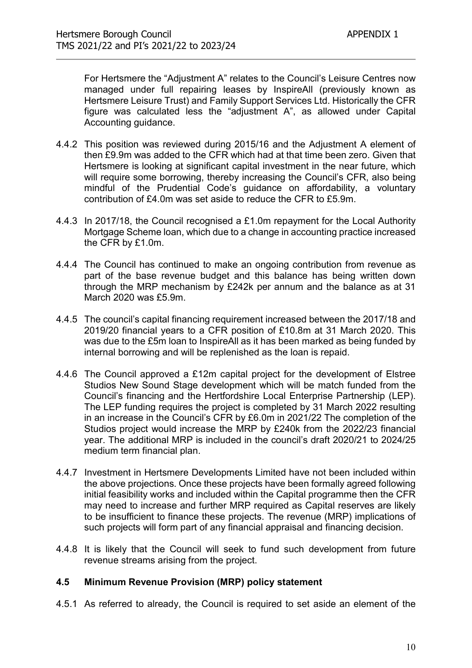For Hertsmere the "Adjustment A" relates to the Council's Leisure Centres now managed under full repairing leases by InspireAll (previously known as Hertsmere Leisure Trust) and Family Support Services Ltd. Historically the CFR figure was calculated less the "adjustment A", as allowed under Capital Accounting guidance.

- 4.4.2 This position was reviewed during 2015/16 and the Adjustment A element of then £9.9m was added to the CFR which had at that time been zero. Given that Hertsmere is looking at significant capital investment in the near future, which will require some borrowing, thereby increasing the Council's CFR, also being mindful of the Prudential Code's guidance on affordability, a voluntary contribution of £4.0m was set aside to reduce the CFR to £5.9m.
- 4.4.3 In 2017/18, the Council recognised a £1.0m repayment for the Local Authority Mortgage Scheme loan, which due to a change in accounting practice increased the CFR by £1.0m.
- 4.4.4 The Council has continued to make an ongoing contribution from revenue as part of the base revenue budget and this balance has being written down through the MRP mechanism by £242k per annum and the balance as at 31 March 2020 was £5.9m.
- 4.4.5 The council's capital financing requirement increased between the 2017/18 and 2019/20 financial years to a CFR position of £10.8m at 31 March 2020. This was due to the £5m loan to InspireAll as it has been marked as being funded by internal borrowing and will be replenished as the loan is repaid.
- 4.4.6 The Council approved a £12m capital project for the development of Elstree Studios New Sound Stage development which will be match funded from the Council's financing and the Hertfordshire Local Enterprise Partnership (LEP). The LEP funding requires the project is completed by 31 March 2022 resulting in an increase in the Council's CFR by £6.0m in 2021/22 The completion of the Studios project would increase the MRP by £240k from the 2022/23 financial year. The additional MRP is included in the council's draft 2020/21 to 2024/25 medium term financial plan.
- 4.4.7 Investment in Hertsmere Developments Limited have not been included within the above projections. Once these projects have been formally agreed following initial feasibility works and included within the Capital programme then the CFR may need to increase and further MRP required as Capital reserves are likely to be insufficient to finance these projects. The revenue (MRP) implications of such projects will form part of any financial appraisal and financing decision.
- 4.4.8 It is likely that the Council will seek to fund such development from future revenue streams arising from the project.

#### 4.5 Minimum Revenue Provision (MRP) policy statement

4.5.1 As referred to already, the Council is required to set aside an element of the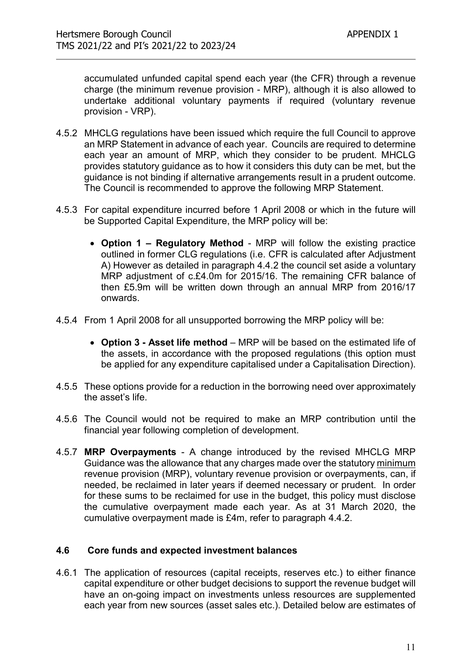accumulated unfunded capital spend each year (the CFR) through a revenue charge (the minimum revenue provision - MRP), although it is also allowed to undertake additional voluntary payments if required (voluntary revenue provision - VRP).

- 4.5.2 MHCLG regulations have been issued which require the full Council to approve an MRP Statement in advance of each year. Councils are required to determine each year an amount of MRP, which they consider to be prudent. MHCLG provides statutory guidance as to how it considers this duty can be met, but the guidance is not binding if alternative arrangements result in a prudent outcome. The Council is recommended to approve the following MRP Statement.
- 4.5.3 For capital expenditure incurred before 1 April 2008 or which in the future will be Supported Capital Expenditure, the MRP policy will be:
	- Option 1 Regulatory Method MRP will follow the existing practice outlined in former CLG regulations (i.e. CFR is calculated after Adjustment A) However as detailed in paragraph 4.4.2 the council set aside a voluntary MRP adjustment of c.£4.0m for 2015/16. The remaining CFR balance of then £5.9m will be written down through an annual MRP from 2016/17 onwards.
- 4.5.4 From 1 April 2008 for all unsupported borrowing the MRP policy will be:
	- Option 3 Asset life method MRP will be based on the estimated life of the assets, in accordance with the proposed regulations (this option must be applied for any expenditure capitalised under a Capitalisation Direction).
- 4.5.5 These options provide for a reduction in the borrowing need over approximately the asset's life.
- 4.5.6 The Council would not be required to make an MRP contribution until the financial year following completion of development.
- 4.5.7 MRP Overpayments A change introduced by the revised MHCLG MRP Guidance was the allowance that any charges made over the statutory minimum revenue provision (MRP), voluntary revenue provision or overpayments, can, if needed, be reclaimed in later years if deemed necessary or prudent. In order for these sums to be reclaimed for use in the budget, this policy must disclose the cumulative overpayment made each year. As at 31 March 2020, the cumulative overpayment made is £4m, refer to paragraph 4.4.2.

#### 4.6 Core funds and expected investment balances

4.6.1 The application of resources (capital receipts, reserves etc.) to either finance capital expenditure or other budget decisions to support the revenue budget will have an on-going impact on investments unless resources are supplemented each year from new sources (asset sales etc.). Detailed below are estimates of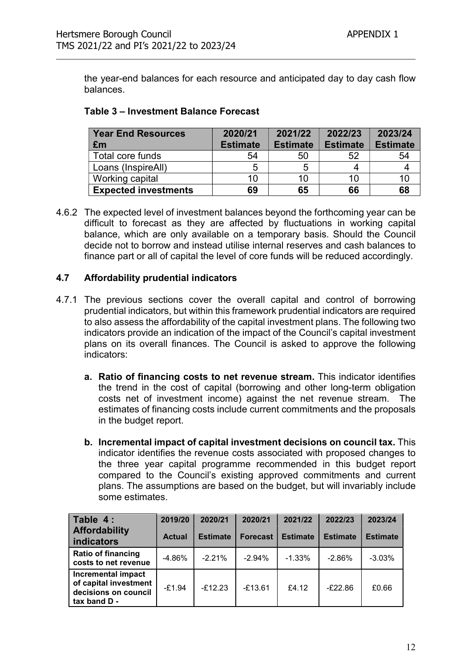the year-end balances for each resource and anticipated day to day cash flow balances.

|  | Table 3 - Investment Balance Forecast |  |  |
|--|---------------------------------------|--|--|
|--|---------------------------------------|--|--|

| <b>Year End Resources</b>   | 2020/21         | 2021/22         | 2022/23         | 2023/24         |
|-----------------------------|-----------------|-----------------|-----------------|-----------------|
| £m                          | <b>Estimate</b> | <b>Estimate</b> | <b>Estimate</b> | <b>Estimate</b> |
| Total core funds            | 54              | 50              | 52              | 54              |
| Loans (InspireAll)          | 5               |                 |                 |                 |
| Working capital             | 10              | 10              | 10              |                 |
| <b>Expected investments</b> | 69              | 65              | 66              | 68              |

4.6.2 The expected level of investment balances beyond the forthcoming year can be difficult to forecast as they are affected by fluctuations in working capital balance, which are only available on a temporary basis. Should the Council decide not to borrow and instead utilise internal reserves and cash balances to finance part or all of capital the level of core funds will be reduced accordingly.

#### 4.7 Affordability prudential indicators

- 4.7.1 The previous sections cover the overall capital and control of borrowing prudential indicators, but within this framework prudential indicators are required to also assess the affordability of the capital investment plans. The following two indicators provide an indication of the impact of the Council's capital investment plans on its overall finances. The Council is asked to approve the following indicators:
	- a. Ratio of financing costs to net revenue stream. This indicator identifies the trend in the cost of capital (borrowing and other long-term obligation costs net of investment income) against the net revenue stream. The estimates of financing costs include current commitments and the proposals in the budget report.
	- b. Incremental impact of capital investment decisions on council tax. This indicator identifies the revenue costs associated with proposed changes to the three year capital programme recommended in this budget report compared to the Council's existing approved commitments and current plans. The assumptions are based on the budget, but will invariably include some estimates.

| Table 4:<br><b>Affordability</b><br><b>indicators</b>                                      | 2019/20<br><b>Actual</b> | 2020/21<br><b>Estimate</b> | 2020/21<br><b>Forecast</b> | 2021/22<br><b>Estimate</b> | 2022/23<br><b>Estimate</b> | 2023/24<br><b>Estimate</b> |
|--------------------------------------------------------------------------------------------|--------------------------|----------------------------|----------------------------|----------------------------|----------------------------|----------------------------|
| <b>Ratio of financing</b><br>costs to net revenue                                          | $-4.86%$                 | $-2.21%$                   | $-2.94\%$                  | $-1.33%$                   | $-2.86%$                   | $-3.03%$                   |
| <b>Incremental impact</b><br>of capital investment<br>decisions on council<br>tax band D - | $-£1.94$                 | $-f12.23$                  | $-£13.61$                  | f4.12                      | $-E22.86$                  | £0.66                      |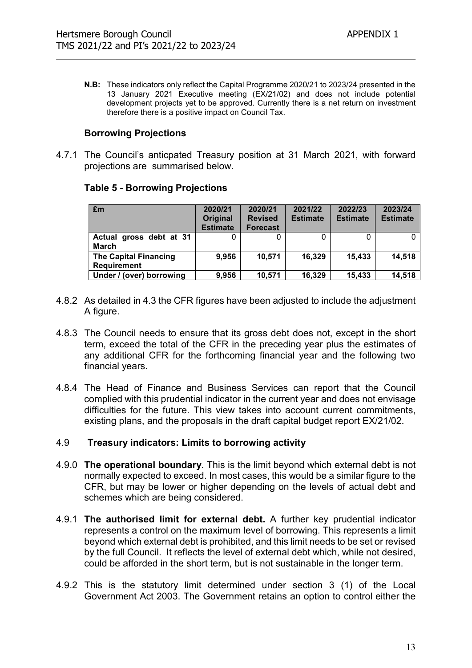N.B: These indicators only reflect the Capital Programme 2020/21 to 2023/24 presented in the 13 January 2021 Executive meeting (EX/21/02) and does not include potential development projects yet to be approved. Currently there is a net return on investment therefore there is a positive impact on Council Tax.

#### Borrowing Projections

4.7.1 The Council's anticpated Treasury position at 31 March 2021, with forward projections are summarised below.

| Em                                                 | 2020/21<br><b>Original</b><br><b>Estimate</b> | 2020/21<br><b>Revised</b><br><b>Forecast</b> | 2021/22<br><b>Estimate</b> | 2022/23<br><b>Estimate</b> | 2023/24<br><b>Estimate</b> |
|----------------------------------------------------|-----------------------------------------------|----------------------------------------------|----------------------------|----------------------------|----------------------------|
| Actual gross debt at 31<br><b>March</b>            |                                               |                                              |                            |                            |                            |
| <b>The Capital Financing</b><br><b>Requirement</b> | 9,956                                         | 10,571                                       | 16,329                     | 15,433                     | 14,518                     |
| Under / (over) borrowing                           | 9,956                                         | 10,571                                       | 16,329                     | 15,433                     | 14.518                     |

#### Table 5 - Borrowing Projections

- 4.8.2 As detailed in 4.3 the CFR figures have been adjusted to include the adjustment A figure.
- 4.8.3 The Council needs to ensure that its gross debt does not, except in the short term, exceed the total of the CFR in the preceding year plus the estimates of any additional CFR for the forthcoming financial year and the following two financial years.
- 4.8.4 The Head of Finance and Business Services can report that the Council complied with this prudential indicator in the current year and does not envisage difficulties for the future. This view takes into account current commitments, existing plans, and the proposals in the draft capital budget report EX/21/02.

#### 4.9 Treasury indicators: Limits to borrowing activity

- 4.9.0 The operational boundary. This is the limit beyond which external debt is not normally expected to exceed. In most cases, this would be a similar figure to the CFR, but may be lower or higher depending on the levels of actual debt and schemes which are being considered.
- 4.9.1 The authorised limit for external debt. A further key prudential indicator represents a control on the maximum level of borrowing. This represents a limit beyond which external debt is prohibited, and this limit needs to be set or revised by the full Council. It reflects the level of external debt which, while not desired, could be afforded in the short term, but is not sustainable in the longer term.
- 4.9.2 This is the statutory limit determined under section 3 (1) of the Local Government Act 2003. The Government retains an option to control either the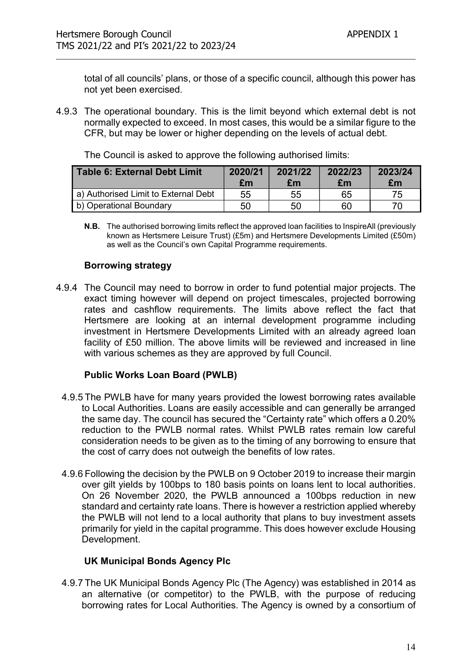total of all councils' plans, or those of a specific council, although this power has not yet been exercised.

4.9.3 The operational boundary. This is the limit beyond which external debt is not normally expected to exceed. In most cases, this would be a similar figure to the CFR, but may be lower or higher depending on the levels of actual debt.

| <b>Table 6: External Debt Limit</b>  | 2020/21<br>£m | 2021/22<br>£m | 2022/23<br>£m | 2023/24<br>£m |
|--------------------------------------|---------------|---------------|---------------|---------------|
| a) Authorised Limit to External Debt | 55            | 55            | 65            | 75            |
| b) Operational Boundary              | 50            | 50            | 60            | 70            |

The Council is asked to approve the following authorised limits:

N.B. The authorised borrowing limits reflect the approved loan facilities to InspireAll (previously known as Hertsmere Leisure Trust) (£5m) and Hertsmere Developments Limited (£50m) as well as the Council's own Capital Programme requirements.

#### Borrowing strategy

4.9.4 The Council may need to borrow in order to fund potential major projects. The exact timing however will depend on project timescales, projected borrowing rates and cashflow requirements. The limits above reflect the fact that Hertsmere are looking at an internal development programme including investment in Hertsmere Developments Limited with an already agreed loan facility of £50 million. The above limits will be reviewed and increased in line with various schemes as they are approved by full Council.

#### Public Works Loan Board (PWLB)

- 4.9.5 The PWLB have for many years provided the lowest borrowing rates available to Local Authorities. Loans are easily accessible and can generally be arranged the same day. The council has secured the "Certainty rate" which offers a 0.20% reduction to the PWLB normal rates. Whilst PWLB rates remain low careful consideration needs to be given as to the timing of any borrowing to ensure that the cost of carry does not outweigh the benefits of low rates.
- 4.9.6 Following the decision by the PWLB on 9 October 2019 to increase their margin over gilt yields by 100bps to 180 basis points on loans lent to local authorities. On 26 November 2020, the PWLB announced a 100bps reduction in new standard and certainty rate loans. There is however a restriction applied whereby the PWLB will not lend to a local authority that plans to buy investment assets primarily for yield in the capital programme. This does however exclude Housing Development.

#### UK Municipal Bonds Agency Plc

4.9.7 The UK Municipal Bonds Agency Plc (The Agency) was established in 2014 as an alternative (or competitor) to the PWLB, with the purpose of reducing borrowing rates for Local Authorities. The Agency is owned by a consortium of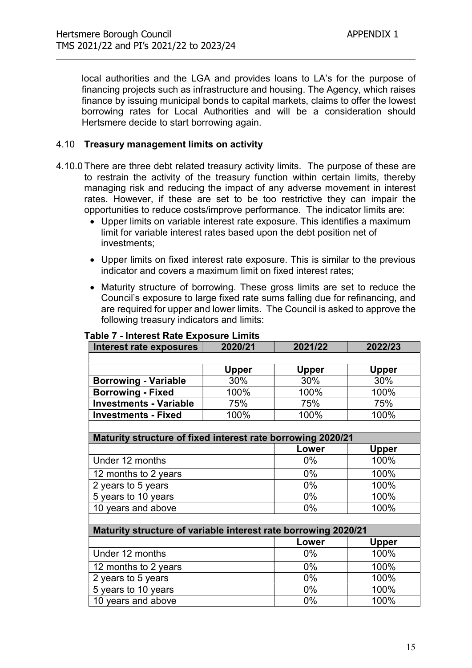local authorities and the LGA and provides loans to LA's for the purpose of financing projects such as infrastructure and housing. The Agency, which raises finance by issuing municipal bonds to capital markets, claims to offer the lowest borrowing rates for Local Authorities and will be a consideration should Hertsmere decide to start borrowing again.

#### 4.10 Treasury management limits on activity

- 4.10.0 There are three debt related treasury activity limits. The purpose of these are to restrain the activity of the treasury function within certain limits, thereby managing risk and reducing the impact of any adverse movement in interest rates. However, if these are set to be too restrictive they can impair the opportunities to reduce costs/improve performance. The indicator limits are:
	- Upper limits on variable interest rate exposure. This identifies a maximum limit for variable interest rates based upon the debt position net of investments;
	- Upper limits on fixed interest rate exposure. This is similar to the previous indicator and covers a maximum limit on fixed interest rates;
	- Maturity structure of borrowing. These gross limits are set to reduce the Council's exposure to large fixed rate sums falling due for refinancing, and are required for upper and lower limits. The Council is asked to approve the following treasury indicators and limits:

| Interest rate exposures                                        | 2020/21      | 2021/22      | 2022/23      |  |  |  |  |
|----------------------------------------------------------------|--------------|--------------|--------------|--|--|--|--|
|                                                                |              |              |              |  |  |  |  |
|                                                                | <b>Upper</b> | <b>Upper</b> | <b>Upper</b> |  |  |  |  |
| <b>Borrowing - Variable</b>                                    | 30%          | 30%          | 30%          |  |  |  |  |
| <b>Borrowing - Fixed</b>                                       | 100%         | 100%         | 100%         |  |  |  |  |
| <b>Investments - Variable</b>                                  | 75%          | 75%          | 75%          |  |  |  |  |
| <b>Investments - Fixed</b>                                     | 100%         | 100%         | 100%         |  |  |  |  |
|                                                                |              |              |              |  |  |  |  |
| Maturity structure of fixed interest rate borrowing 2020/21    |              |              |              |  |  |  |  |
|                                                                |              | Lower        | <b>Upper</b> |  |  |  |  |
| Under 12 months                                                |              | $0\%$        | 100%         |  |  |  |  |
| 12 months to 2 years                                           |              | $0\%$        | 100%         |  |  |  |  |
| 2 years to 5 years                                             |              | 0%           | 100%         |  |  |  |  |
| 5 years to 10 years                                            |              | 0%           | 100%         |  |  |  |  |
| 10 years and above                                             |              | $0\%$        | 100%         |  |  |  |  |
|                                                                |              |              |              |  |  |  |  |
| Maturity structure of variable interest rate borrowing 2020/21 |              |              |              |  |  |  |  |
|                                                                |              | Lower        | <b>Upper</b> |  |  |  |  |
| Under 12 months                                                |              | $0\%$        | 100%         |  |  |  |  |
| 12 months to 2 years                                           |              | $0\%$        | 100%         |  |  |  |  |
| 2 years to 5 years                                             |              | $0\%$        | 100%         |  |  |  |  |
| 5 years to 10 years                                            |              | 0%           | 100%         |  |  |  |  |
| 10 years and above                                             |              | 0%           | 100%         |  |  |  |  |

#### Table 7 - Interest Rate Exposure Limits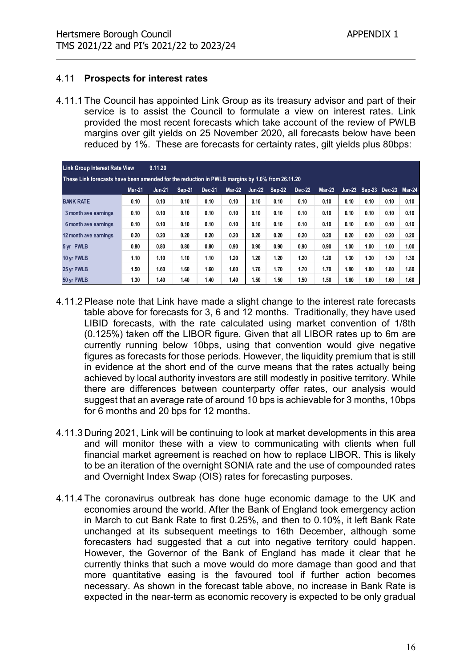#### 4.11 Prospects for interest rates

| lertsmere Borough Council<br>MS 2021/22 and PI's 2021/22 to 2023/24                                                                                                                                                                                                                                                           |               |               |               |        |      |                      |      |        |          |      | <b>APPENDIX 1</b>           |      |      |
|-------------------------------------------------------------------------------------------------------------------------------------------------------------------------------------------------------------------------------------------------------------------------------------------------------------------------------|---------------|---------------|---------------|--------|------|----------------------|------|--------|----------|------|-----------------------------|------|------|
| .11<br><b>Prospects for interest rates</b>                                                                                                                                                                                                                                                                                    |               |               |               |        |      |                      |      |        |          |      |                             |      |      |
| service is to assist the Council to formulate a view on interest rates. Link<br>provided the most recent forecasts which take account of the review of PWLB<br>margins over gilt yields on 25 November 2020, all forecasts below have been<br>reduced by 1%. These are forecasts for certainty rates, gilt yields plus 80bps: |               |               |               |        |      |                      |      |        |          |      |                             |      |      |
| <b>Link Group Interest Rate View</b>                                                                                                                                                                                                                                                                                          |               | 9.11.20       |               |        |      |                      |      |        |          |      |                             |      |      |
| These Link forecasts have been amended for the reduction in PWLB margins by 1.0% from 26.11.20                                                                                                                                                                                                                                | <b>Mar-21</b> | <b>Jun-21</b> | <b>Sep-21</b> | Dec-21 |      | Mar-22 Jun-22 Sep-22 |      | Dec-22 | $Mar-23$ |      | Jun-23 Sep-23 Dec-23 Mar-24 |      |      |
| <b>BANK RATE</b>                                                                                                                                                                                                                                                                                                              | 0.10          | 0.10          | 0.10          | 0.10   | 0.10 | 0.10                 | 0.10 | 0.10   | 0.10     | 0.10 | 0.10                        | 0.10 | 0.10 |
| 3 month ave earnings                                                                                                                                                                                                                                                                                                          | 0.10          | 0.10          | 0.10          | 0.10   | 0.10 | 0.10                 | 0.10 | 0.10   | 0.10     | 0.10 | 0.10                        | 0.10 | 0.10 |
| 6 month ave earnings                                                                                                                                                                                                                                                                                                          | 0.10          | 0.10          | 0.10          | 0.10   | 0.10 | 0.10                 | 0.10 | 0.10   | 0.10     | 0.10 | 0.10                        | 0.10 | 0.10 |
| 12 month ave earnings                                                                                                                                                                                                                                                                                                         | 0.20          | 0.20          | 0.20          | 0.20   | 0.20 | 0.20                 | 0.20 | 0.20   | 0.20     | 0.20 | 0.20                        | 0.20 | 0.20 |
| 5 yr PWLB                                                                                                                                                                                                                                                                                                                     | 0.80          | 0.80          | 0.80          | 0.80   | 0.90 | 0.90                 | 0.90 | 0.90   | 0.90     | 1.00 | 1.00                        | 1.00 | 1.00 |
| 10 yr PWLB                                                                                                                                                                                                                                                                                                                    | 1.10          | 1.10          | 1.10          | 1.10   | 1.20 | 1.20                 | 1.20 | 1.20   | 1.20     | 1.30 | 1.30                        | 1.30 | 1.30 |
| 25 yr PWLB                                                                                                                                                                                                                                                                                                                    | 1.50          | 1.60          | 1.60          | 1.60   | 1.60 | 1.70                 | 1.70 | 1.70   | 1.70     | 1.80 | 1.80                        | 1.80 | 1.80 |

- 4.11.2 Please note that Link have made a slight change to the interest rate forecasts table above for forecasts for 3, 6 and 12 months. Traditionally, they have used LIBID forecasts, with the rate calculated using market convention of 1/8th (0.125%) taken off the LIBOR figure. Given that all LIBOR rates up to 6m are currently running below 10bps, using that convention would give negative figures as forecasts for those periods. However, the liquidity premium that is still in evidence at the short end of the curve means that the rates actually being achieved by local authority investors are still modestly in positive territory. While there are differences between counterparty offer rates, our analysis would suggest that an average rate of around 10 bps is achievable for 3 months, 10bps for 6 months and 20 bps for 12 months.
- 4.11.3 During 2021, Link will be continuing to look at market developments in this area and will monitor these with a view to communicating with clients when full financial market agreement is reached on how to replace LIBOR. This is likely to be an iteration of the overnight SONIA rate and the use of compounded rates and Overnight Index Swap (OIS) rates for forecasting purposes.
- 4.11.4 The coronavirus outbreak has done huge economic damage to the UK and economies around the world. After the Bank of England took emergency action in March to cut Bank Rate to first 0.25%, and then to 0.10%, it left Bank Rate unchanged at its subsequent meetings to 16th December, although some forecasters had suggested that a cut into negative territory could happen. However, the Governor of the Bank of England has made it clear that he currently thinks that such a move would do more damage than good and that more quantitative easing is the favoured tool if further action becomes necessary. As shown in the forecast table above, no increase in Bank Rate is expected in the near-term as economic recovery is expected to be only gradual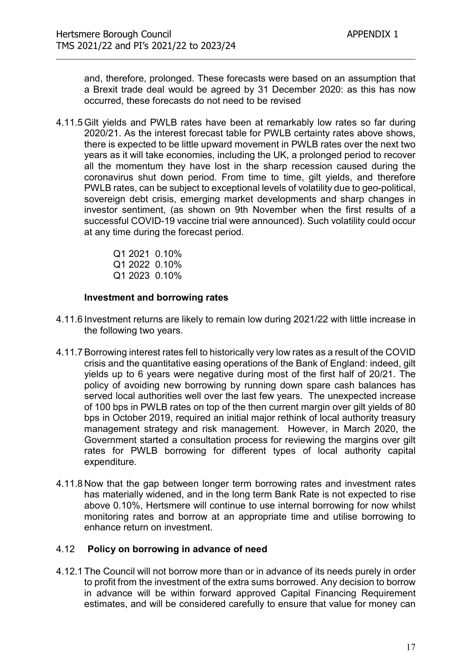and, therefore, prolonged. These forecasts were based on an assumption that a Brexit trade deal would be agreed by 31 December 2020: as this has now occurred, these forecasts do not need to be revised

4.11.5 Gilt yields and PWLB rates have been at remarkably low rates so far during 2020/21. As the interest forecast table for PWLB certainty rates above shows, there is expected to be little upward movement in PWLB rates over the next two years as it will take economies, including the UK, a prolonged period to recover all the momentum they have lost in the sharp recession caused during the coronavirus shut down period. From time to time, gilt yields, and therefore PWLB rates, can be subject to exceptional levels of volatility due to geo-political, sovereign debt crisis, emerging market developments and sharp changes in investor sentiment, (as shown on 9th November when the first results of a successful COVID-19 vaccine trial were announced). Such volatility could occur at any time during the forecast period.

> Q1 2021 0.10% Q1 2022 0.10% Q1 2023 0.10%

#### Investment and borrowing rates

- 4.11.6 Investment returns are likely to remain low during 2021/22 with little increase in the following two years.
- 4.11.7 Borrowing interest rates fell to historically very low rates as a result of the COVID crisis and the quantitative easing operations of the Bank of England: indeed, gilt yields up to 6 years were negative during most of the first half of 20/21. The policy of avoiding new borrowing by running down spare cash balances has served local authorities well over the last few years. The unexpected increase of 100 bps in PWLB rates on top of the then current margin over gilt yields of 80 bps in October 2019, required an initial major rethink of local authority treasury management strategy and risk management. However, in March 2020, the Government started a consultation process for reviewing the margins over gilt rates for PWLB borrowing for different types of local authority capital expenditure.
- 4.11.8 Now that the gap between longer term borrowing rates and investment rates has materially widened, and in the long term Bank Rate is not expected to rise above 0.10%, Hertsmere will continue to use internal borrowing for now whilst monitoring rates and borrow at an appropriate time and utilise borrowing to enhance return on investment.

#### 4.12 Policy on borrowing in advance of need

4.12.1 The Council will not borrow more than or in advance of its needs purely in order to profit from the investment of the extra sums borrowed. Any decision to borrow in advance will be within forward approved Capital Financing Requirement estimates, and will be considered carefully to ensure that value for money can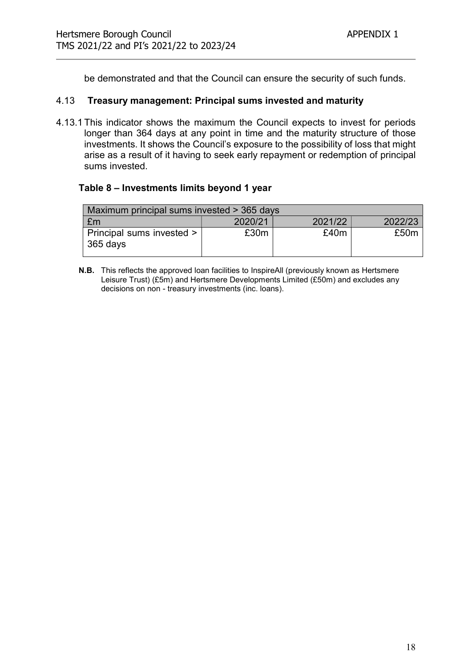be demonstrated and that the Council can ensure the security of such funds.

#### 4.13 Treasury management: Principal sums invested and maturity

4.13.1 This indicator shows the maximum the Council expects to invest for periods longer than 364 days at any point in time and the maturity structure of those investments. It shows the Council's exposure to the possibility of loss that might arise as a result of it having to seek early repayment or redemption of principal sums invested.

#### Table 8 – Investments limits beyond 1 year

| Maximum principal sums invested > 365 days |         |         |         |  |  |  |  |  |  |
|--------------------------------------------|---------|---------|---------|--|--|--|--|--|--|
| £m                                         | 2020/21 | 2021/22 | 2022/23 |  |  |  |  |  |  |
| Principal sums invested >  <br>$365$ days  | £30m    | £40m    | £50m    |  |  |  |  |  |  |

N.B. This reflects the approved loan facilities to InspireAll (previously known as Hertsmere Leisure Trust) (£5m) and Hertsmere Developments Limited (£50m) and excludes any decisions on non - treasury investments (inc. loans).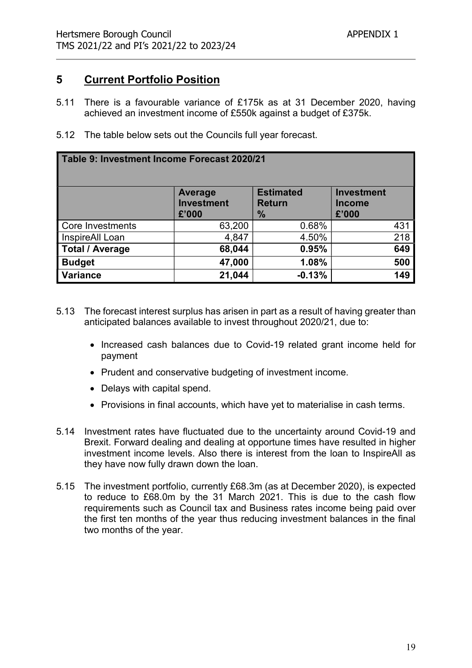# 5 Current Portfolio Position

- 5.11 There is a favourable variance of £175k as at 31 December 2020, having achieved an investment income of £550k against a budget of £375k.
- 5.12 The table below sets out the Councils full year forecast.

| Table 9: Investment Income Forecast 2020/21 |                                       |                                                    |                                             |  |  |  |  |  |  |
|---------------------------------------------|---------------------------------------|----------------------------------------------------|---------------------------------------------|--|--|--|--|--|--|
|                                             | Average<br><b>Investment</b><br>£'000 | <b>Estimated</b><br><b>Return</b><br>$\frac{9}{6}$ | <b>Investment</b><br><b>Income</b><br>£'000 |  |  |  |  |  |  |
| Core Investments                            | 63,200                                | 0.68%                                              | 431                                         |  |  |  |  |  |  |
| InspireAll Loan                             | 4,847                                 | 4.50%                                              | 218                                         |  |  |  |  |  |  |
| <b>Total / Average</b>                      | 68,044                                | 0.95%                                              | 649                                         |  |  |  |  |  |  |
| <b>Budget</b>                               | 47,000                                | 1.08%                                              | 500                                         |  |  |  |  |  |  |
| <b>Variance</b>                             | 21,044                                | $-0.13%$                                           | 149                                         |  |  |  |  |  |  |

- 5.13 The forecast interest surplus has arisen in part as a result of having greater than anticipated balances available to invest throughout 2020/21, due to:
	- Increased cash balances due to Covid-19 related grant income held for payment
	- Prudent and conservative budgeting of investment income.
	- Delays with capital spend.
	- Provisions in final accounts, which have yet to materialise in cash terms.
- 5.14 Investment rates have fluctuated due to the uncertainty around Covid-19 and Brexit. Forward dealing and dealing at opportune times have resulted in higher investment income levels. Also there is interest from the loan to InspireAll as they have now fully drawn down the loan.
- 5.15 The investment portfolio, currently £68.3m (as at December 2020), is expected to reduce to £68.0m by the 31 March 2021. This is due to the cash flow requirements such as Council tax and Business rates income being paid over the first ten months of the year thus reducing investment balances in the final two months of the year.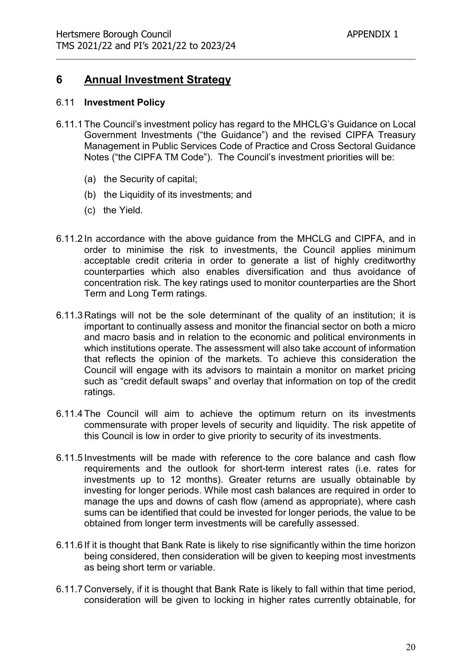# 6 Annual Investment Strategy

#### 6.11 Investment Policy

- 6.11.1 The Council's investment policy has regard to the MHCLG's Guidance on Local Government Investments ("the Guidance") and the revised CIPFA Treasury Management in Public Services Code of Practice and Cross Sectoral Guidance Notes ("the CIPFA TM Code"). The Council's investment priorities will be:
	- (a) the Security of capital;
	- (b) the Liquidity of its investments; and
	- (c) the Yield.
- 6.11.2 In accordance with the above guidance from the MHCLG and CIPFA, and in order to minimise the risk to investments, the Council applies minimum acceptable credit criteria in order to generate a list of highly creditworthy counterparties which also enables diversification and thus avoidance of concentration risk. The key ratings used to monitor counterparties are the Short Term and Long Term ratings.
- 6.11.3 Ratings will not be the sole determinant of the quality of an institution; it is important to continually assess and monitor the financial sector on both a micro and macro basis and in relation to the economic and political environments in which institutions operate. The assessment will also take account of information that reflects the opinion of the markets. To achieve this consideration the Council will engage with its advisors to maintain a monitor on market pricing such as "credit default swaps" and overlay that information on top of the credit ratings.
- 6.11.4 The Council will aim to achieve the optimum return on its investments commensurate with proper levels of security and liquidity. The risk appetite of this Council is low in order to give priority to security of its investments.
- 6.11.5 Investments will be made with reference to the core balance and cash flow requirements and the outlook for short-term interest rates (i.e. rates for investments up to 12 months). Greater returns are usually obtainable by investing for longer periods. While most cash balances are required in order to manage the ups and downs of cash flow (amend as appropriate), where cash sums can be identified that could be invested for longer periods, the value to be obtained from longer term investments will be carefully assessed.
- 6.11.6 If it is thought that Bank Rate is likely to rise significantly within the time horizon being considered, then consideration will be given to keeping most investments as being short term or variable.
- 6.11.7 Conversely, if it is thought that Bank Rate is likely to fall within that time period, consideration will be given to locking in higher rates currently obtainable, for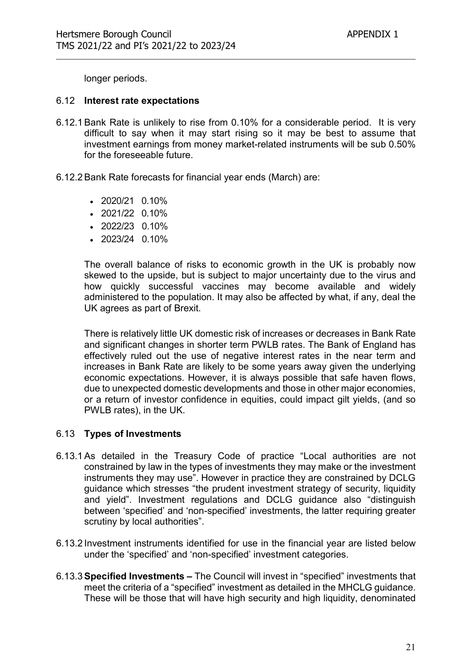longer periods.

#### 6.12 Interest rate expectations

- 6.12.1 Bank Rate is unlikely to rise from 0.10% for a considerable period. It is very difficult to say when it may start rising so it may be best to assume that investment earnings from money market-related instruments will be sub 0.50% for the foreseeable future.
- 6.12.2 Bank Rate forecasts for financial year ends (March) are:
	- 2020/21 0.10%
	- $\cdot$  2021/22 0.10%
	- 2022/23 0.10%
	- 2023/24 0.10%

The overall balance of risks to economic growth in the UK is probably now skewed to the upside, but is subject to major uncertainty due to the virus and how quickly successful vaccines may become available and widely administered to the population. It may also be affected by what, if any, deal the UK agrees as part of Brexit.

There is relatively little UK domestic risk of increases or decreases in Bank Rate and significant changes in shorter term PWLB rates. The Bank of England has effectively ruled out the use of negative interest rates in the near term and increases in Bank Rate are likely to be some years away given the underlying economic expectations. However, it is always possible that safe haven flows, due to unexpected domestic developments and those in other major economies, or a return of investor confidence in equities, could impact gilt yields, (and so PWLB rates), in the UK.

#### 6.13 Types of Investments

- 6.13.1 As detailed in the Treasury Code of practice "Local authorities are not constrained by law in the types of investments they may make or the investment instruments they may use". However in practice they are constrained by DCLG guidance which stresses "the prudent investment strategy of security, liquidity and yield". Investment regulations and DCLG guidance also "distinguish between 'specified' and 'non-specified' investments, the latter requiring greater scrutiny by local authorities".
- 6.13.2 Investment instruments identified for use in the financial year are listed below under the 'specified' and 'non-specified' investment categories.
- 6.13.3 Specified Investments The Council will invest in "specified" investments that meet the criteria of a "specified" investment as detailed in the MHCLG guidance. These will be those that will have high security and high liquidity, denominated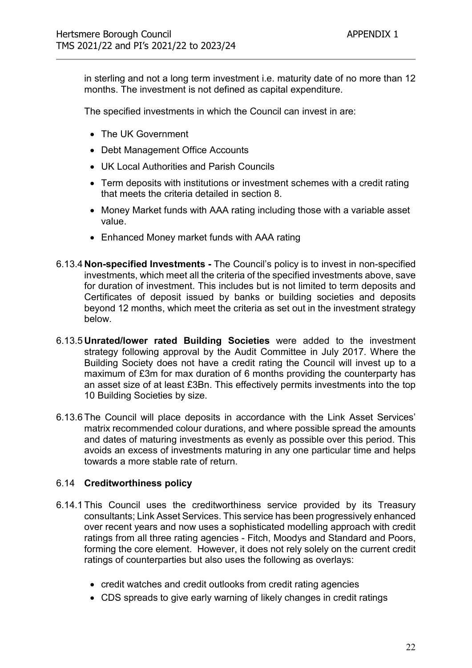in sterling and not a long term investment i.e. maturity date of no more than 12 months. The investment is not defined as capital expenditure.

The specified investments in which the Council can invest in are:

- The UK Government
- Debt Management Office Accounts
- UK Local Authorities and Parish Councils
- Term deposits with institutions or investment schemes with a credit rating that meets the criteria detailed in section 8.
- Money Market funds with AAA rating including those with a variable asset value.
- Enhanced Money market funds with AAA rating
- 6.13.4 Non-specified Investments The Council's policy is to invest in non-specified investments, which meet all the criteria of the specified investments above, save for duration of investment. This includes but is not limited to term deposits and Certificates of deposit issued by banks or building societies and deposits beyond 12 months, which meet the criteria as set out in the investment strategy below.
- 6.13.5 Unrated/lower rated Building Societies were added to the investment strategy following approval by the Audit Committee in July 2017. Where the Building Society does not have a credit rating the Council will invest up to a maximum of £3m for max duration of 6 months providing the counterparty has an asset size of at least £3Bn. This effectively permits investments into the top 10 Building Societies by size.
- 6.13.6 The Council will place deposits in accordance with the Link Asset Services' matrix recommended colour durations, and where possible spread the amounts and dates of maturing investments as evenly as possible over this period. This avoids an excess of investments maturing in any one particular time and helps towards a more stable rate of return.

#### 6.14 Creditworthiness policy

- 6.14.1 This Council uses the creditworthiness service provided by its Treasury consultants; Link Asset Services. This service has been progressively enhanced over recent years and now uses a sophisticated modelling approach with credit ratings from all three rating agencies - Fitch, Moodys and Standard and Poors, forming the core element. However, it does not rely solely on the current credit ratings of counterparties but also uses the following as overlays:
	- credit watches and credit outlooks from credit rating agencies
	- CDS spreads to give early warning of likely changes in credit ratings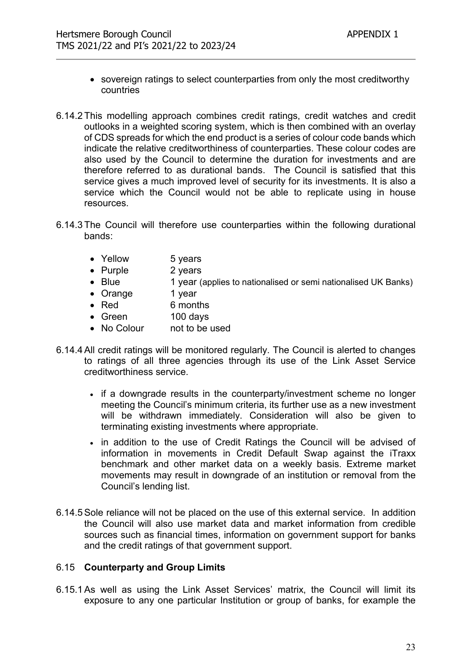- sovereign ratings to select counterparties from only the most creditworthy countries
- 6.14.2 This modelling approach combines credit ratings, credit watches and credit outlooks in a weighted scoring system, which is then combined with an overlay of CDS spreads for which the end product is a series of colour code bands which indicate the relative creditworthiness of counterparties. These colour codes are also used by the Council to determine the duration for investments and are therefore referred to as durational bands. The Council is satisfied that this service gives a much improved level of security for its investments. It is also a service which the Council would not be able to replicate using in house resources.
- 6.14.3 The Council will therefore use counterparties within the following durational bands:
	- Yellow 5 years
	- Purple 2 years
	- Blue 1 year (applies to nationalised or semi nationalised UK Banks)
	- Orange 1 year
	- Red 6 months
	- Green 100 days
	- No Colour not to be used
- 6.14.4 All credit ratings will be monitored regularly. The Council is alerted to changes to ratings of all three agencies through its use of the Link Asset Service creditworthiness service.
	- if a downgrade results in the counterparty/investment scheme no longer meeting the Council's minimum criteria, its further use as a new investment will be withdrawn immediately. Consideration will also be given to terminating existing investments where appropriate.
	- in addition to the use of Credit Ratings the Council will be advised of information in movements in Credit Default Swap against the iTraxx benchmark and other market data on a weekly basis. Extreme market movements may result in downgrade of an institution or removal from the Council's lending list.
- 6.14.5 Sole reliance will not be placed on the use of this external service. In addition the Council will also use market data and market information from credible sources such as financial times, information on government support for banks and the credit ratings of that government support.

#### 6.15 Counterparty and Group Limits

6.15.1 As well as using the Link Asset Services' matrix, the Council will limit its exposure to any one particular Institution or group of banks, for example the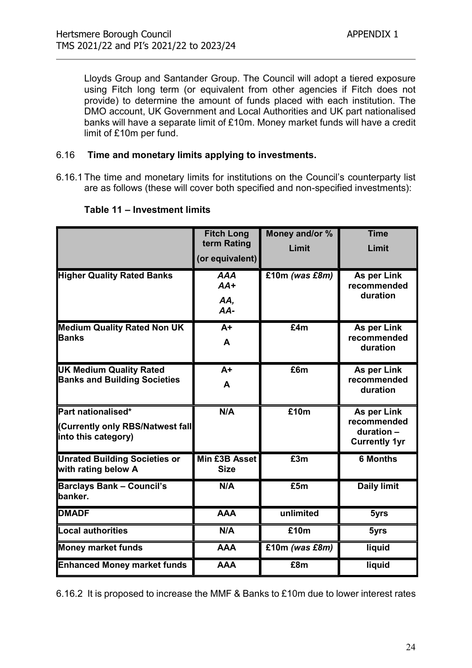Lloyds Group and Santander Group. The Council will adopt a tiered exposure using Fitch long term (or equivalent from other agencies if Fitch does not provide) to determine the amount of funds placed with each institution. The DMO account, UK Government and Local Authorities and UK part nationalised banks will have a separate limit of £10m. Money market funds will have a credit limit of £10m per fund.

#### 6.16 Time and monetary limits applying to investments.

6.16.1 The time and monetary limits for institutions on the Council's counterparty list are as follows (these will cover both specified and non-specified investments):

|                                                                               | <b>Fitch Long</b><br>term Rating<br>(or equivalent) | Money and/or %<br>Limit | <b>Time</b><br>Limit                                             |
|-------------------------------------------------------------------------------|-----------------------------------------------------|-------------------------|------------------------------------------------------------------|
| <b>Higher Quality Rated Banks</b>                                             | <b>AAA</b><br>$AA+$<br>AA,<br>$AA-$                 | £10m (was £8m)          | As per Link<br>recommended<br>duration                           |
| <b>Medium Quality Rated Non UK</b><br><b>Banks</b>                            | $A+$<br>A                                           | E4m                     | As per Link<br>recommended<br>duration                           |
| <b>UK Medium Quality Rated</b><br><b>Banks and Building Societies</b>         | $A+$<br>A                                           | E6m                     | As per Link<br>recommended<br>duration                           |
| Part nationalised*<br>(Currently only RBS/Natwest fall<br>into this category) | N/A                                                 | £10m                    | As per Link<br>recommended<br>duration -<br><b>Currently 1yr</b> |
| <b>Unrated Building Societies or</b><br>with rating below A                   | Min £3B Asset<br><b>Size</b>                        | E3m                     | <b>6 Months</b>                                                  |
| <b>Barclays Bank - Council's</b><br>banker.                                   | N/A                                                 | £5m                     | <b>Daily limit</b>                                               |
| <b>DMADF</b>                                                                  | <b>AAA</b>                                          | unlimited               | 5yrs                                                             |
| Local authorities                                                             | N/A                                                 | £10m                    | 5yrs                                                             |
| <b>Money market funds</b>                                                     | <b>AAA</b>                                          | £10m (was £8m)          | liquid                                                           |
| <b>Enhanced Money market funds</b>                                            | <b>AAA</b>                                          | £8m                     | liquid                                                           |

#### Table 11 – Investment limits

6.16.2 It is proposed to increase the MMF & Banks to £10m due to lower interest rates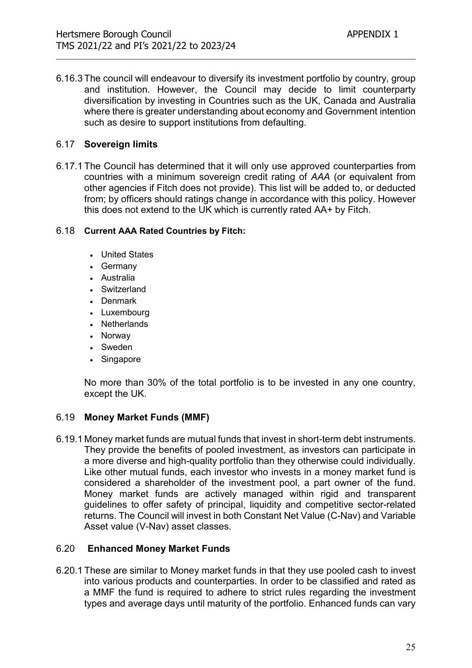6.16.3 The council will endeavour to diversify its investment portfolio by country, group and institution. However, the Council may decide to limit counterparty diversification by investing in Countries such as the UK, Canada and Australia where there is greater understanding about economy and Government intention such as desire to support institutions from defaulting.

#### 6.17 Sovereign limits

6.17.1 The Council has determined that it will only use approved counterparties from countries with a minimum sovereign credit rating of AAA (or equivalent from other agencies if Fitch does not provide). This list will be added to, or deducted from; by officers should ratings change in accordance with this policy. However this does not extend to the UK which is currently rated AA+ by Fitch.

#### 6.18 Current AAA Rated Countries by Fitch:

- United States
- Germany
- Australia
- Switzerland
- Denmark
- Luxembourg
- Netherlands
- Norway
- Sweden
- Singapore

No more than 30% of the total portfolio is to be invested in any one country, except the UK.

#### 6.19 Money Market Funds (MMF)

6.19.1 Money market funds are mutual funds that invest in short-term debt instruments. They provide the benefits of pooled investment, as investors can participate in a more diverse and high-quality portfolio than they otherwise could individually. Like other mutual funds, each investor who invests in a money market fund is considered a shareholder of the investment pool, a part owner of the fund. Money market funds are actively managed within rigid and transparent guidelines to offer safety of principal, liquidity and competitive sector-related returns. The Council will invest in both Constant Net Value (C-Nav) and Variable Asset value (V-Nav) asset classes.

#### 6.20 Enhanced Money Market Funds

6.20.1 These are similar to Money market funds in that they use pooled cash to invest into various products and counterparties. In order to be classified and rated as a MMF the fund is required to adhere to strict rules regarding the investment types and average days until maturity of the portfolio. Enhanced funds can vary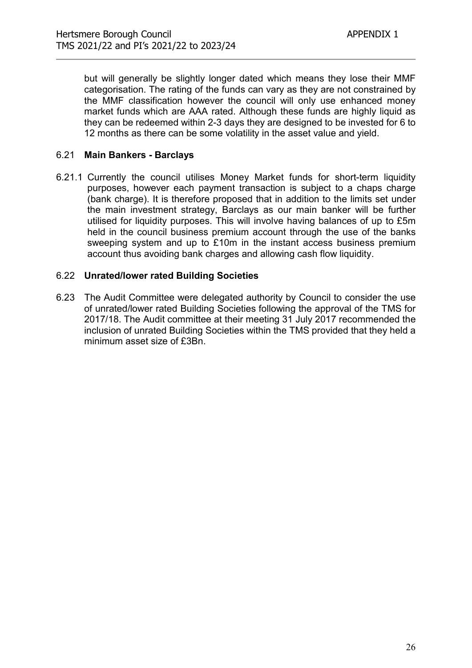but will generally be slightly longer dated which means they lose their MMF categorisation. The rating of the funds can vary as they are not constrained by the MMF classification however the council will only use enhanced money market funds which are AAA rated. Although these funds are highly liquid as they can be redeemed within 2-3 days they are designed to be invested for 6 to 12 months as there can be some volatility in the asset value and yield.

#### 6.21 Main Bankers - Barclays

6.21.1 Currently the council utilises Money Market funds for short-term liquidity purposes, however each payment transaction is subject to a chaps charge (bank charge). It is therefore proposed that in addition to the limits set under the main investment strategy, Barclays as our main banker will be further utilised for liquidity purposes. This will involve having balances of up to £5m held in the council business premium account through the use of the banks sweeping system and up to £10m in the instant access business premium account thus avoiding bank charges and allowing cash flow liquidity.

#### 6.22 Unrated/lower rated Building Societies

6.23 The Audit Committee were delegated authority by Council to consider the use of unrated/lower rated Building Societies following the approval of the TMS for 2017/18. The Audit committee at their meeting 31 July 2017 recommended the inclusion of unrated Building Societies within the TMS provided that they held a minimum asset size of £3Bn.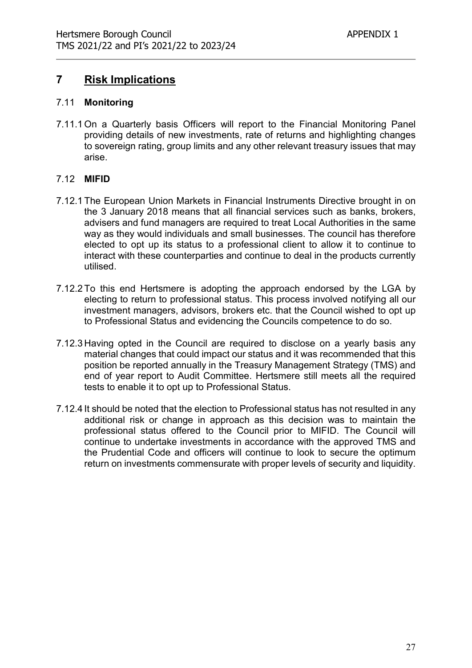# 7 Risk Implications

#### 7.11 Monitoring

7.11.1 On a Quarterly basis Officers will report to the Financial Monitoring Panel providing details of new investments, rate of returns and highlighting changes to sovereign rating, group limits and any other relevant treasury issues that may arise.

#### 7.12 MIFID

- 7.12.1 The European Union Markets in Financial Instruments Directive brought in on the 3 January 2018 means that all financial services such as banks, brokers, advisers and fund managers are required to treat Local Authorities in the same way as they would individuals and small businesses. The council has therefore elected to opt up its status to a professional client to allow it to continue to interact with these counterparties and continue to deal in the products currently utilised.
- 7.12.2 To this end Hertsmere is adopting the approach endorsed by the LGA by electing to return to professional status. This process involved notifying all our investment managers, advisors, brokers etc. that the Council wished to opt up to Professional Status and evidencing the Councils competence to do so.
- 7.12.3 Having opted in the Council are required to disclose on a yearly basis any material changes that could impact our status and it was recommended that this position be reported annually in the Treasury Management Strategy (TMS) and end of year report to Audit Committee. Hertsmere still meets all the required tests to enable it to opt up to Professional Status.
- 7.12.4 It should be noted that the election to Professional status has not resulted in any additional risk or change in approach as this decision was to maintain the professional status offered to the Council prior to MIFID. The Council will continue to undertake investments in accordance with the approved TMS and the Prudential Code and officers will continue to look to secure the optimum return on investments commensurate with proper levels of security and liquidity.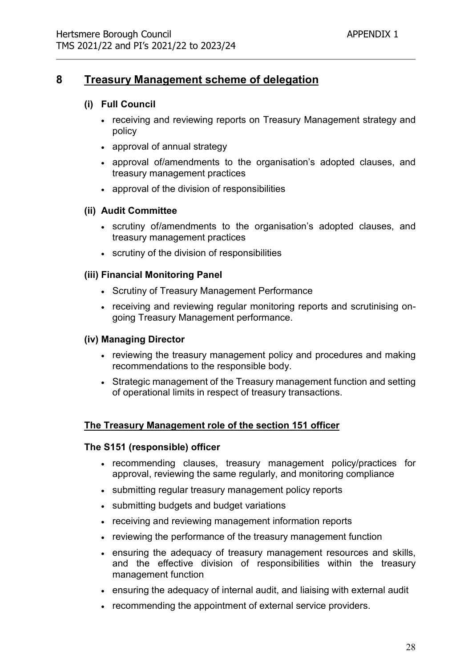# 8 Treasury Management scheme of delegation

#### (i) Full Council

- receiving and reviewing reports on Treasury Management strategy and policy
- approval of annual strategy
- approval of/amendments to the organisation's adopted clauses, and treasury management practices
- approval of the division of responsibilities

#### (ii) Audit Committee

- scrutiny of/amendments to the organisation's adopted clauses, and treasury management practices
- scrutiny of the division of responsibilities

#### (iii) Financial Monitoring Panel

- Scrutiny of Treasury Management Performance
- receiving and reviewing regular monitoring reports and scrutinising ongoing Treasury Management performance.

#### (iv) Managing Director

- reviewing the treasury management policy and procedures and making recommendations to the responsible body.
- Strategic management of the Treasury management function and setting of operational limits in respect of treasury transactions.

#### The Treasury Management role of the section 151 officer

#### The S151 (responsible) officer

- recommending clauses, treasury management policy/practices for approval, reviewing the same regularly, and monitoring compliance
- submitting regular treasury management policy reports
- submitting budgets and budget variations
- receiving and reviewing management information reports
- reviewing the performance of the treasury management function
- ensuring the adequacy of treasury management resources and skills, and the effective division of responsibilities within the treasury management function
- ensuring the adequacy of internal audit, and liaising with external audit
- recommending the appointment of external service providers.